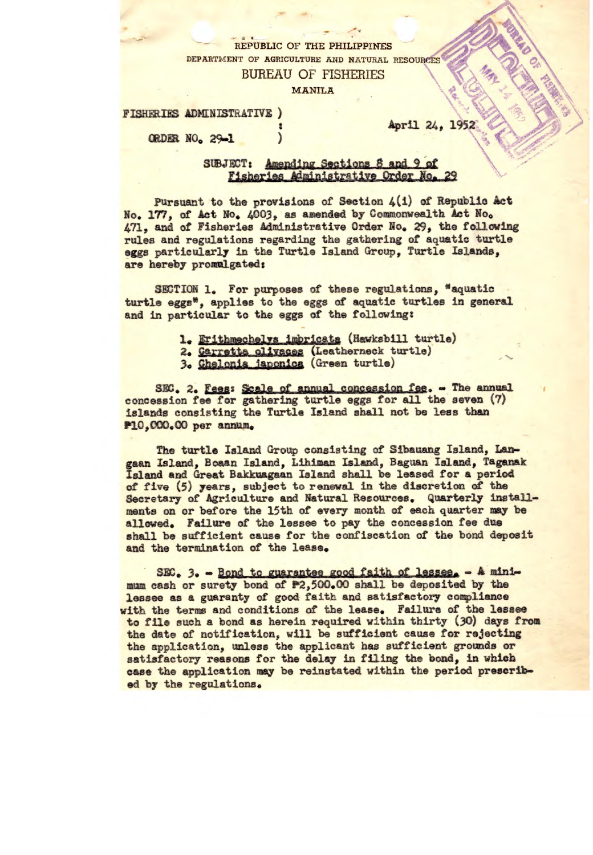## \_3 **<sup>C</sup> REPUBLIC OF THE PHILIPPINES**  DEPARTMENT OF AGRICULTURE AND NATURAL RESOURCES **BUREAU OF FISHERIES**

MANILA

**FISHERIES ADMINISTRATIVE** 

**ORDER** NO, 29.1

## April 24, 1952

i)

## SUBJECT: Amending Sections 8 and 9 of<br>Fisheries Administrative Order No.

Pursuant to the provisions of Section 4(1) of Republic Act No. 177, of Act No. 4003, as amended by Commonwealth Act No. 471, and of Fisheries Administrative Order No. 29, the following rules and regulations regarding the gathering of aquatic turtle eggs particularly in the Turtle Island Group, Turtle Islands, are hereby promulgated:

SECTION 1. For purposes of these regulations, "aquatic turtle eggs<sup>\*</sup>, applies to the eggs of aquatic turtles in general and in particular to the eggs **of the following:** 

- **1. Erithmechelvs imbricata (Hawksbill turtle)**
- 2. Carretta olivaces (Leatherneck turtle)
- 3. Chelonia japonica (Green turtle)

SEC. 2. Fees: Scale of **annual** *concession fee. - The* annual concession fee for gathering turtle eggs for all the seven (7) islands consisting the Turtle Island shall not be less than P10,000.00 per annum.

The turtle Island Group consisting of Sibsuang Island, Langaan Island, Boaan Island, Lihiman Island, Baguan Island, Taganak Island and **Great Bakkuagaan** Island shall be leased for a period of five (5) years, subject to renewsl in the discretion of the Secretary of Agriculture and Natural Resources. Quarterly installments on or before the 15th of every month of each quarter may be allowed. Failure of the **lessee** to pay the concession fee due shall be sufficient cause for the confiscation of the bond deposit and the termination of the lease.

 $SEC.$  3.  $\sim$  Bond to guarantee good faith of lessee.  $\sim$  A minimum cash or surety *bond of P2,500.00 shall be* deposited by the lessee as a guaranty of good faith and satisfactory compliance with the terms and conditions of the lease. Failure of the lessee to file such a bond as herein required within thirty (30) days from the date of notification, will be sufficient cause for rejecting the application, unless the applicant has sufficient grounds or satisfactory reasons for the delay in filing the bond, *In* which case the application may be reinstated within the period prescribed by the regulations.